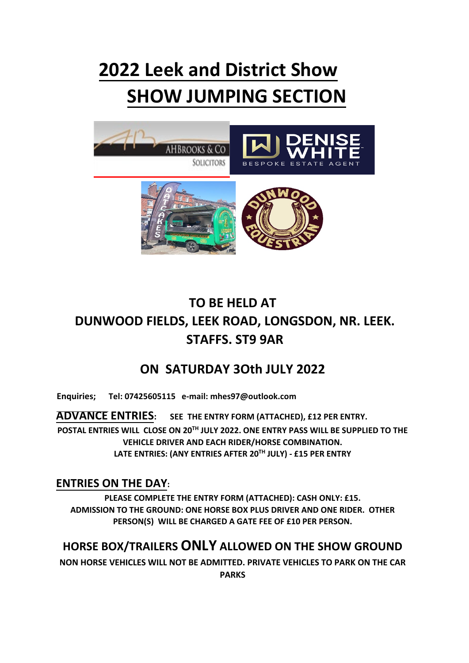# **2022 Leek and District Show SHOW JUMPING SECTION**



### **TO BE HELD AT DUNWOOD FIELDS, LEEK ROAD, LONGSDON, NR. LEEK. STAFFS. ST9 9AR**

#### **ON SATURDAY 3Oth JULY 2022**

**Enquiries; Tel: 07425605115 e-mail: mhes97@outlook.com** 

**ADVANCE ENTRIES: SEE THE ENTRY FORM (ATTACHED), £12 PER ENTRY. POSTAL ENTRIES WILL CLOSE ON 20 TH JULY 2022. ONE ENTRY PASS WILL BE SUPPLIED TO THE VEHICLE DRIVER AND EACH RIDER/HORSE COMBINATION. LATE ENTRIES: (ANY ENTRIES AFTER 20 TH JULY) - £15 PER ENTRY**

#### **ENTRIES ON THE DAY:**

**PLEASE COMPLETE THE ENTRY FORM (ATTACHED): CASH ONLY: £15. ADMISSION TO THE GROUND: ONE HORSE BOX PLUS DRIVER AND ONE RIDER. OTHER PERSON(S) WILL BE CHARGED A GATE FEE OF £10 PER PERSON.**

#### **HORSE BOX/TRAILERS ONLY ALLOWED ON THE SHOW GROUND**

**NON HORSE VEHICLES WILL NOT BE ADMITTED. PRIVATE VEHICLES TO PARK ON THE CAR** 

**PARKS**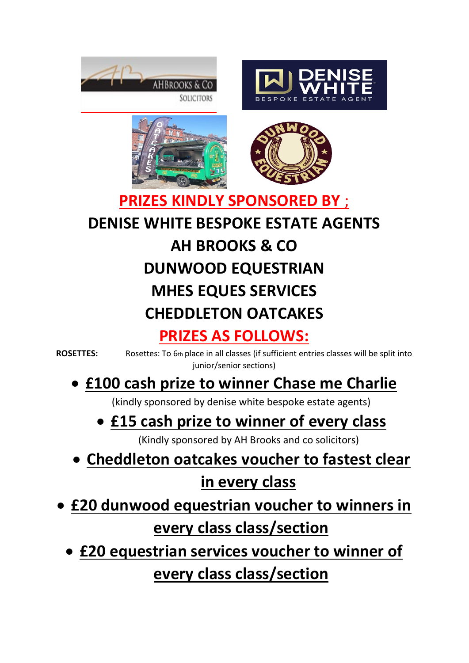







### **PRIZES KINDLY SPONSORED BY** ; **DENISE WHITE BESPOKE ESTATE AGENTS AH BROOKS & CO DUNWOOD EQUESTRIAN MHES EQUES SERVICES CHEDDLETON OATCAKES PRIZES AS FOLLOWS:**

**ROSETTES:** Rosettes: To 6th place in all classes (if sufficient entries classes will be split into junior/senior sections)

### • **£100 cash prize to winner Chase me Charlie**

(kindly sponsored by denise white bespoke estate agents)

### • **£15 cash prize to winner of every class**

(Kindly sponsored by AH Brooks and co solicitors)

- **Cheddleton oatcakes voucher to fastest clear in every class**
- **£20 dunwood equestrian voucher to winners in**

### **every class class/section**

• **£20 equestrian services voucher to winner of every class class/section**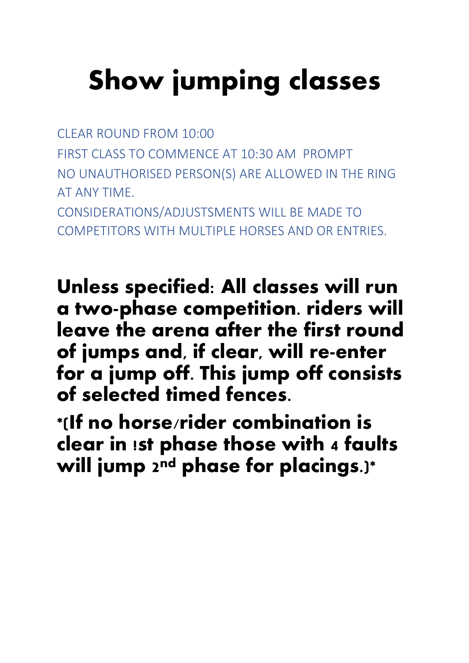# **Show jumping classes**

CLEAR ROUND FROM 10:00 FIRST CLASS TO COMMENCE AT 10:30 AM PROMPT NO UNAUTHORISED PERSON(S) ARE ALLOWED IN THE RING AT ANY TIME. CONSIDERATIONS/ADJUSTSMENTS WILL BE MADE TO COMPETITORS WITH MULTIPLE HORSES AND OR ENTRIES.

**Unless specified: All classes will run a two-phase competition. riders will leave the arena after the first round of jumps and, if clear, will re-enter for a jump off. This jump off consists of selected timed fences.** 

**\*(If no horse/rider combination is clear in !st phase those with 4 faults will jump 2nd phase for placings.)\***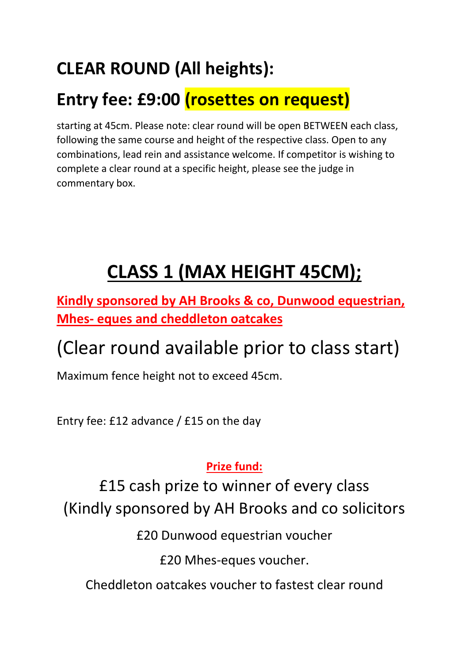## **CLEAR ROUND (All heights):**

### **Entry fee: £9:00 (rosettes on request)**

starting at 45cm. Please note: clear round will be open BETWEEN each class, following the same course and height of the respective class. Open to any combinations, lead rein and assistance welcome. If competitor is wishing to complete a clear round at a specific height, please see the judge in commentary box.

# **CLASS 1 (MAX HEIGHT 45CM);**

**Kindly sponsored by AH Brooks & co, Dunwood equestrian, Mhes- eques and cheddleton oatcakes** 

## (Clear round available prior to class start)

Maximum fence height not to exceed 45cm.

Entry fee: £12 advance / £15 on the day

#### **Prize fund:**

£15 cash prize to winner of every class (Kindly sponsored by AH Brooks and co solicitors

£20 Dunwood equestrian voucher

£20 Mhes-eques voucher.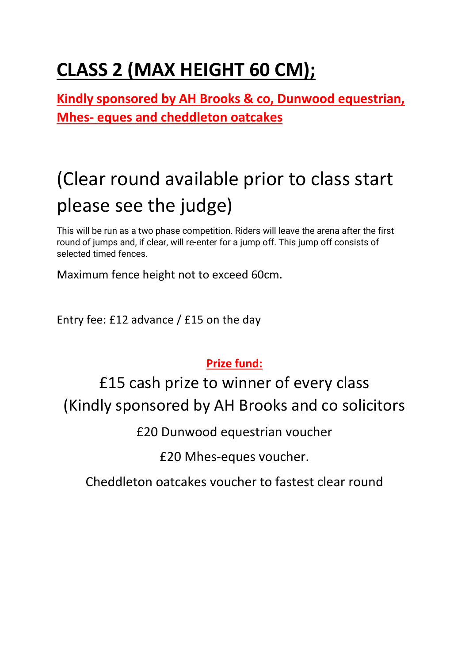# **CLASS 2 (MAX HEIGHT 60 CM);**

**Kindly sponsored by AH Brooks & co, Dunwood equestrian, Mhes- eques and cheddleton oatcakes**

# (Clear round available prior to class start please see the judge)

This will be run as a two phase competition. Riders will leave the arena after the first round of jumps and, if clear, will re-enter for a jump off. This jump off consists of selected timed fences.

Maximum fence height not to exceed 60cm.

Entry fee: £12 advance / £15 on the day

#### **Prize fund:**

£15 cash prize to winner of every class (Kindly sponsored by AH Brooks and co solicitors

£20 Dunwood equestrian voucher

£20 Mhes-eques voucher.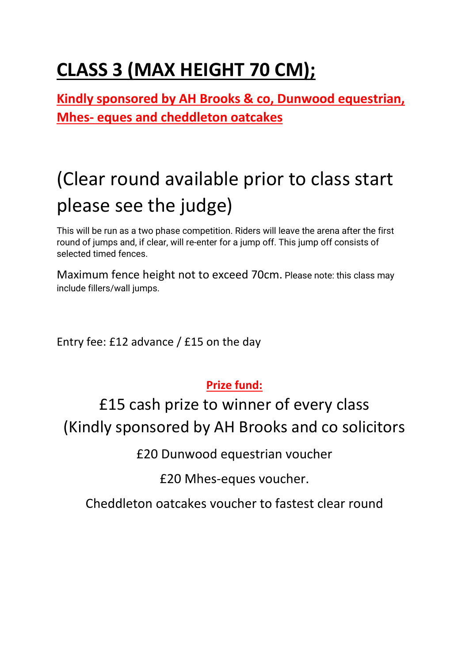# **CLASS 3 (MAX HEIGHT 70 CM);**

**Kindly sponsored by AH Brooks & co, Dunwood equestrian, Mhes- eques and cheddleton oatcakes**

# (Clear round available prior to class start please see the judge)

This will be run as a two phase competition. Riders will leave the arena after the first round of jumps and, if clear, will re-enter for a jump off. This jump off consists of selected timed fences.

Maximum fence height not to exceed 70cm. Please note: this class may include fillers/wall jumps.

Entry fee: £12 advance / £15 on the day

#### **Prize fund:**

£15 cash prize to winner of every class (Kindly sponsored by AH Brooks and co solicitors

£20 Dunwood equestrian voucher

£20 Mhes-eques voucher.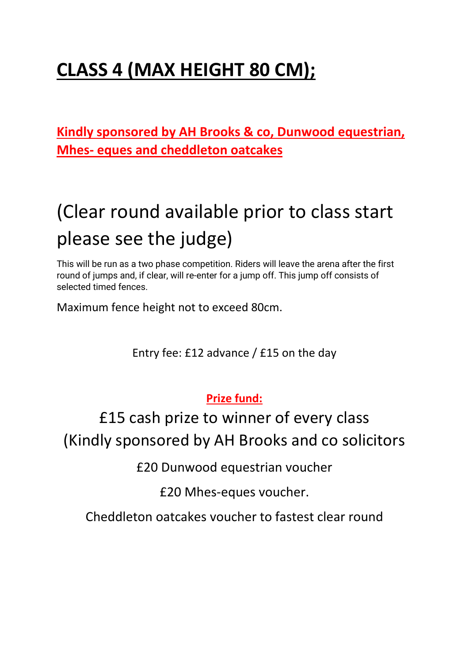# **CLASS 4 (MAX HEIGHT 80 CM);**

**Kindly sponsored by AH Brooks & co, Dunwood equestrian, Mhes- eques and cheddleton oatcakes**

# (Clear round available prior to class start please see the judge)

This will be run as a two phase competition. Riders will leave the arena after the first round of jumps and, if clear, will re-enter for a jump off. This jump off consists of selected timed fences.

Maximum fence height not to exceed 80cm.

Entry fee: £12 advance / £15 on the day

**Prize fund:**

£15 cash prize to winner of every class (Kindly sponsored by AH Brooks and co solicitors

£20 Dunwood equestrian voucher

£20 Mhes-eques voucher.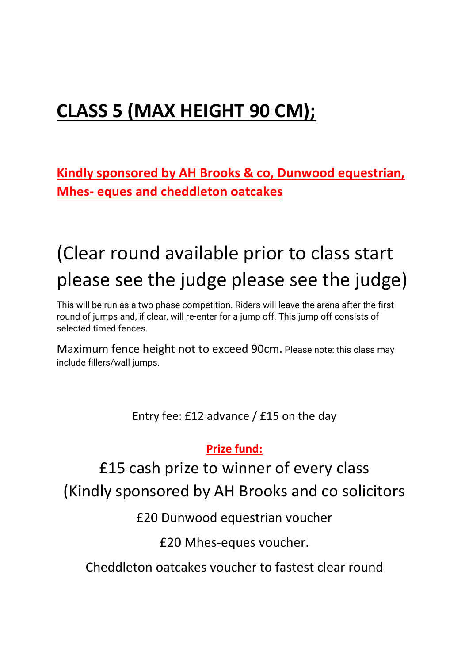# **CLASS 5 (MAX HEIGHT 90 CM);**

**Kindly sponsored by AH Brooks & co, Dunwood equestrian, Mhes- eques and cheddleton oatcakes**

# (Clear round available prior to class start please see the judge please see the judge)

This will be run as a two phase competition. Riders will leave the arena after the first round of jumps and, if clear, will re-enter for a jump off. This jump off consists of selected timed fences.

Maximum fence height not to exceed 90cm. Please note: this class may include fillers/wall jumps.

Entry fee: £12 advance / £15 on the day

#### **Prize fund:**

£15 cash prize to winner of every class (Kindly sponsored by AH Brooks and co solicitors

£20 Dunwood equestrian voucher

£20 Mhes-eques voucher.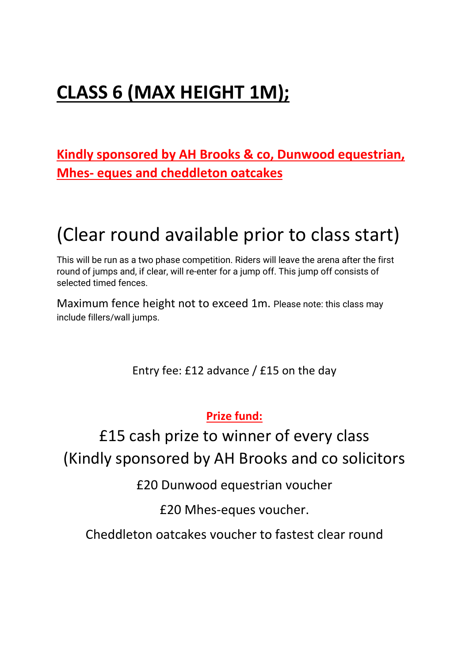# **CLASS 6 (MAX HEIGHT 1M);**

**Kindly sponsored by AH Brooks & co, Dunwood equestrian, Mhes- eques and cheddleton oatcakes**

### (Clear round available prior to class start)

This will be run as a two phase competition. Riders will leave the arena after the first round of jumps and, if clear, will re-enter for a jump off. This jump off consists of selected timed fences.

Maximum fence height not to exceed 1m. Please note: this class may include fillers/wall jumps.

Entry fee: £12 advance / £15 on the day

**Prize fund:**

### £15 cash prize to winner of every class (Kindly sponsored by AH Brooks and co solicitors

£20 Dunwood equestrian voucher

£20 Mhes-eques voucher.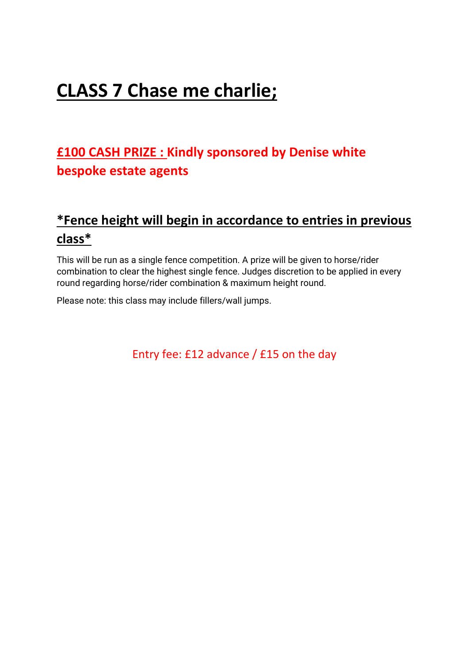### **CLASS 7 Chase me charlie;**

#### **£100 CASH PRIZE : Kindly sponsored by Denise white bespoke estate agents**

#### **\*Fence height will begin in accordance to entries in previous class\***

This will be run as a single fence competition. A prize will be given to horse/rider combination to clear the highest single fence. Judges discretion to be applied in every round regarding horse/rider combination & maximum height round.

Please note: this class may include fillers/wall jumps.

Entry fee: £12 advance / £15 on the day